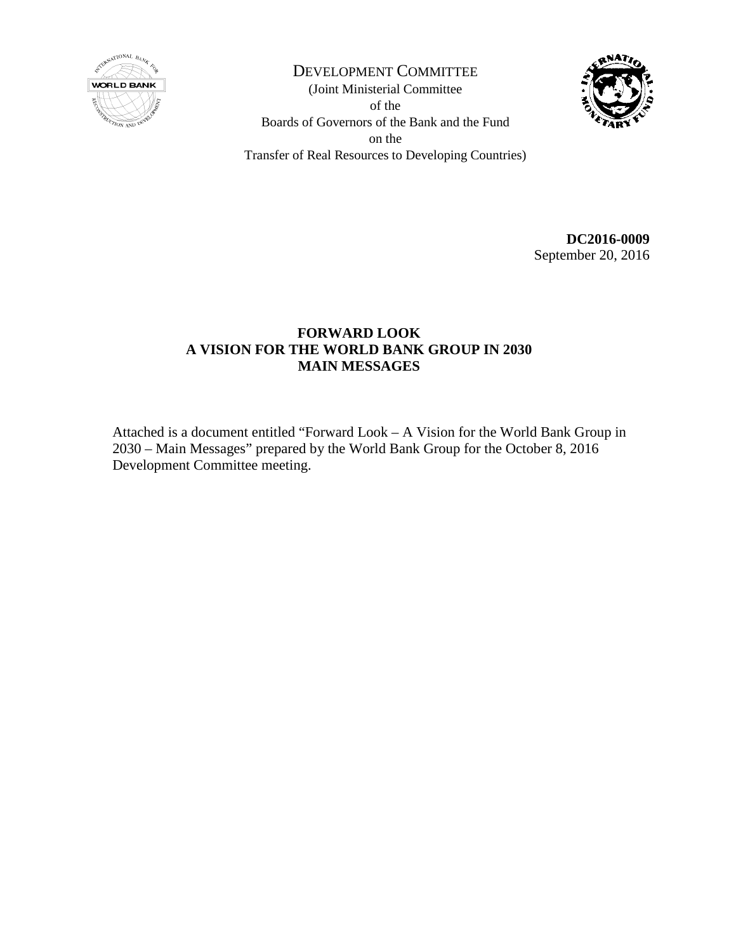

DEVELOPMENT COMMITTEE (Joint Ministerial Committee of the Boards of Governors of the Bank and the Fund on the Transfer of Real Resources to Developing Countries)



**DC2016-0009** September 20, 2016

# **FORWARD LOOK A VISION FOR THE WORLD BANK GROUP IN 2030 MAIN MESSAGES**

Attached is a document entitled "Forward Look – A Vision for the World Bank Group in 2030 – Main Messages" prepared by the World Bank Group for the October 8, 2016 Development Committee meeting.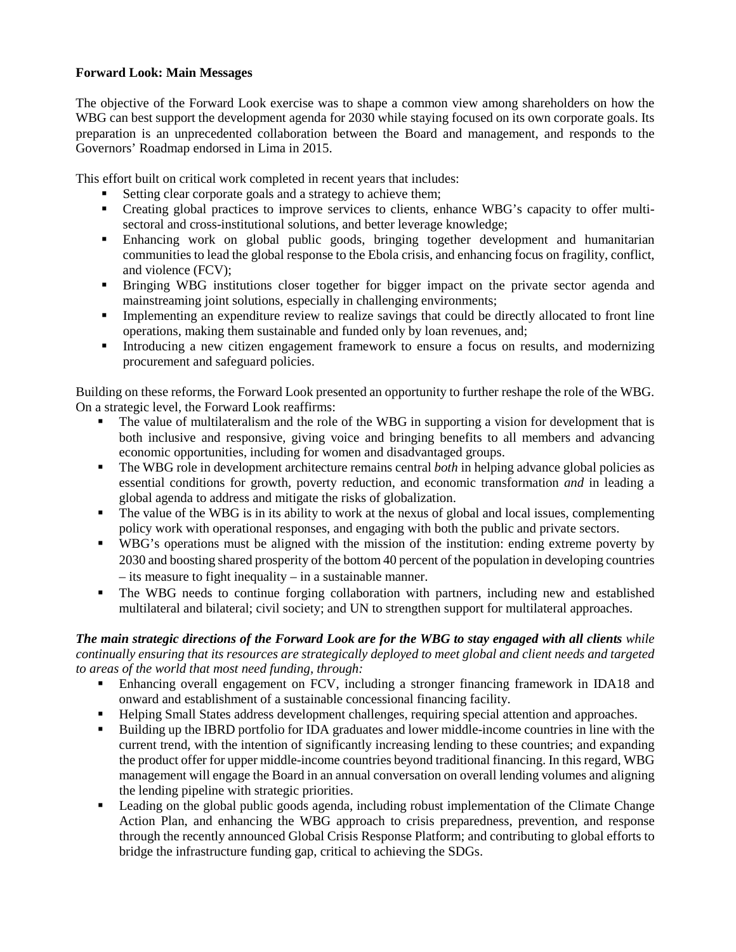# **Forward Look: Main Messages**

The objective of the Forward Look exercise was to shape a common view among shareholders on how the WBG can best support the development agenda for 2030 while staying focused on its own corporate goals. Its preparation is an unprecedented collaboration between the Board and management, and responds to the Governors' Roadmap endorsed in Lima in 2015.

This effort built on critical work completed in recent years that includes:

- Setting clear corporate goals and a strategy to achieve them;
- Creating global practices to improve services to clients, enhance WBG's capacity to offer multisectoral and cross-institutional solutions, and better leverage knowledge;
- Enhancing work on global public goods, bringing together development and humanitarian communities to lead the global response to the Ebola crisis, and enhancing focus on fragility, conflict, and violence (FCV);
- Bringing WBG institutions closer together for bigger impact on the private sector agenda and mainstreaming joint solutions, especially in challenging environments;
- Implementing an expenditure review to realize savings that could be directly allocated to front line operations, making them sustainable and funded only by loan revenues, and;
- Introducing a new citizen engagement framework to ensure a focus on results, and modernizing procurement and safeguard policies.

Building on these reforms, the Forward Look presented an opportunity to further reshape the role of the WBG. On a strategic level, the Forward Look reaffirms:

- The value of multilateralism and the role of the WBG in supporting a vision for development that is both inclusive and responsive, giving voice and bringing benefits to all members and advancing economic opportunities, including for women and disadvantaged groups.
- The WBG role in development architecture remains central *both* in helping advance global policies as essential conditions for growth, poverty reduction, and economic transformation *and* in leading a global agenda to address and mitigate the risks of globalization.
- The value of the WBG is in its ability to work at the nexus of global and local issues, complementing policy work with operational responses, and engaging with both the public and private sectors.
- WBG's operations must be aligned with the mission of the institution: ending extreme poverty by 2030 and boosting shared prosperity of the bottom 40 percent of the population in developing countries – its measure to fight inequality – in a sustainable manner.
- The WBG needs to continue forging collaboration with partners, including new and established multilateral and bilateral; civil society; and UN to strengthen support for multilateral approaches.

## *The main strategic directions of the Forward Look are for the WBG to stay engaged with all clients while continually ensuring that its resources are strategically deployed to meet global and client needs and targeted to areas of the world that most need funding, through:*

- Enhancing overall engagement on FCV, including a stronger financing framework in IDA18 and onward and establishment of a sustainable concessional financing facility.
- Helping Small States address development challenges, requiring special attention and approaches.
- Building up the IBRD portfolio for IDA graduates and lower middle-income countries in line with the current trend, with the intention of significantly increasing lending to these countries; and expanding the product offer for upper middle-income countries beyond traditional financing. In this regard, WBG management will engage the Board in an annual conversation on overall lending volumes and aligning the lending pipeline with strategic priorities.
- Leading on the global public goods agenda, including robust implementation of the Climate Change Action Plan, and enhancing the WBG approach to crisis preparedness, prevention, and response through the recently announced Global Crisis Response Platform; and contributing to global efforts to bridge the infrastructure funding gap, critical to achieving the SDGs.